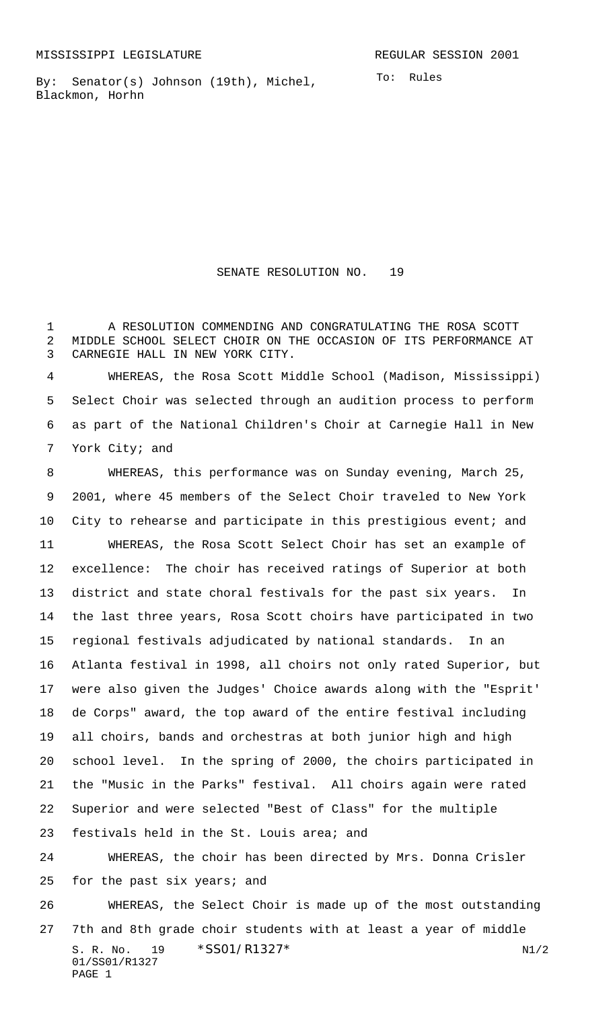01/SS01/R1327

PAGE 1

By: Senator(s) Johnson (19th), Michel, Blackmon, Horhn

SENATE RESOLUTION NO. 19

 A RESOLUTION COMMENDING AND CONGRATULATING THE ROSA SCOTT MIDDLE SCHOOL SELECT CHOIR ON THE OCCASION OF ITS PERFORMANCE AT CARNEGIE HALL IN NEW YORK CITY.

 WHEREAS, the Rosa Scott Middle School (Madison, Mississippi) Select Choir was selected through an audition process to perform as part of the National Children's Choir at Carnegie Hall in New York City; and

S. R. No. 19 \* SS01/R1327\* N1/2 WHEREAS, this performance was on Sunday evening, March 25, 2001, where 45 members of the Select Choir traveled to New York City to rehearse and participate in this prestigious event; and WHEREAS, the Rosa Scott Select Choir has set an example of excellence: The choir has received ratings of Superior at both district and state choral festivals for the past six years. In the last three years, Rosa Scott choirs have participated in two regional festivals adjudicated by national standards. In an Atlanta festival in 1998, all choirs not only rated Superior, but were also given the Judges' Choice awards along with the "Esprit' de Corps" award, the top award of the entire festival including all choirs, bands and orchestras at both junior high and high school level. In the spring of 2000, the choirs participated in the "Music in the Parks" festival. All choirs again were rated Superior and were selected "Best of Class" for the multiple festivals held in the St. Louis area; and WHEREAS, the choir has been directed by Mrs. Donna Crisler for the past six years; and WHEREAS, the Select Choir is made up of the most outstanding 7th and 8th grade choir students with at least a year of middle